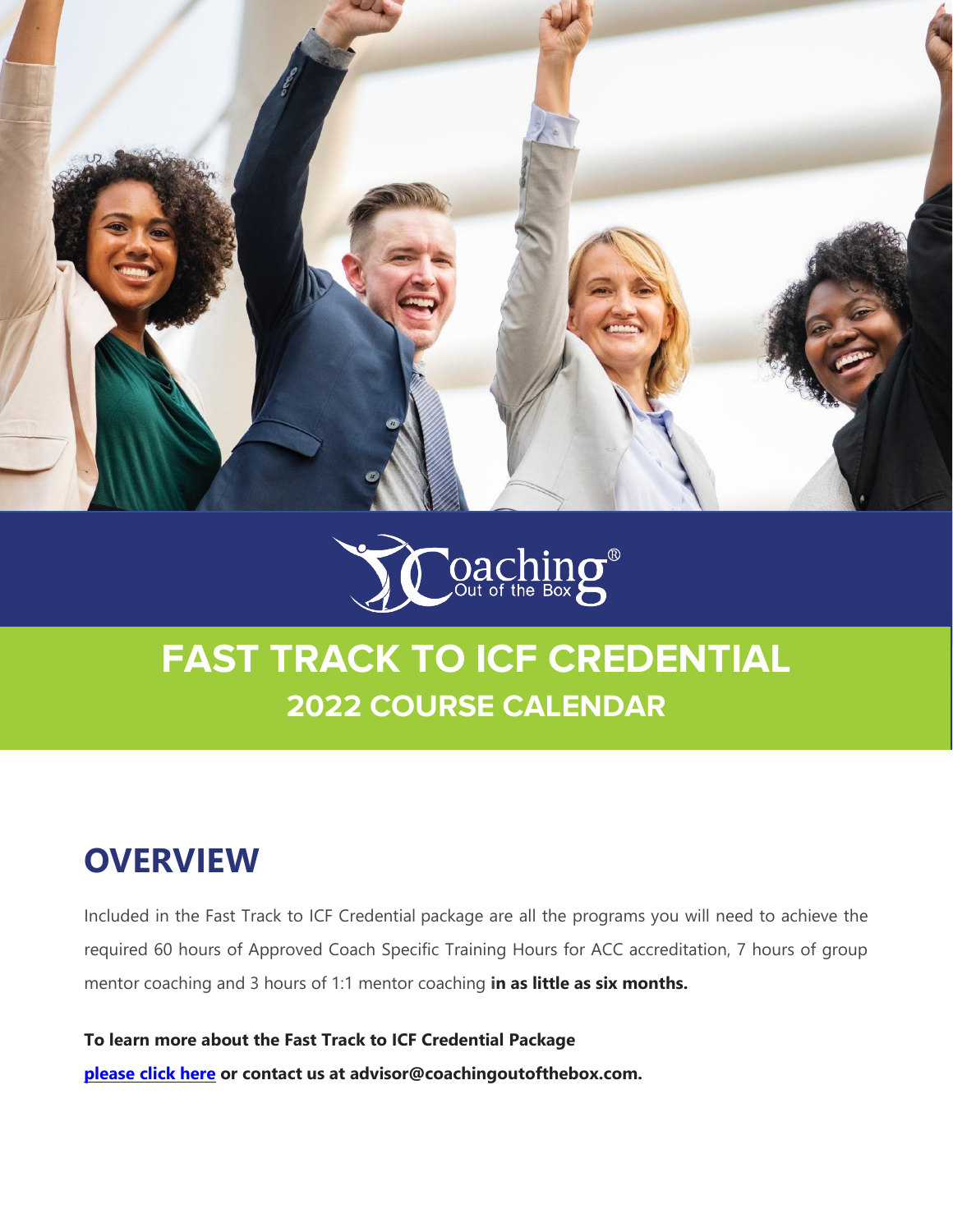



### **OVERVIEW**

Included in the Fast Track to ICF Credential package are all the programs you will need to achieve the required 60 hours of Approved Coach Specific Training Hours for ACC accreditation, 7 hours of group mentor coaching and 3 hours of 1:1 mentor coaching **in as little as six months.**

**To learn more about the Fast Track to ICF Credential Package [please click here](https://www.coachingoutofthebox.com/coaching-education-programs/fast-track-to-icf-certification) or contact us at advisor@coachingoutofthebox.com.**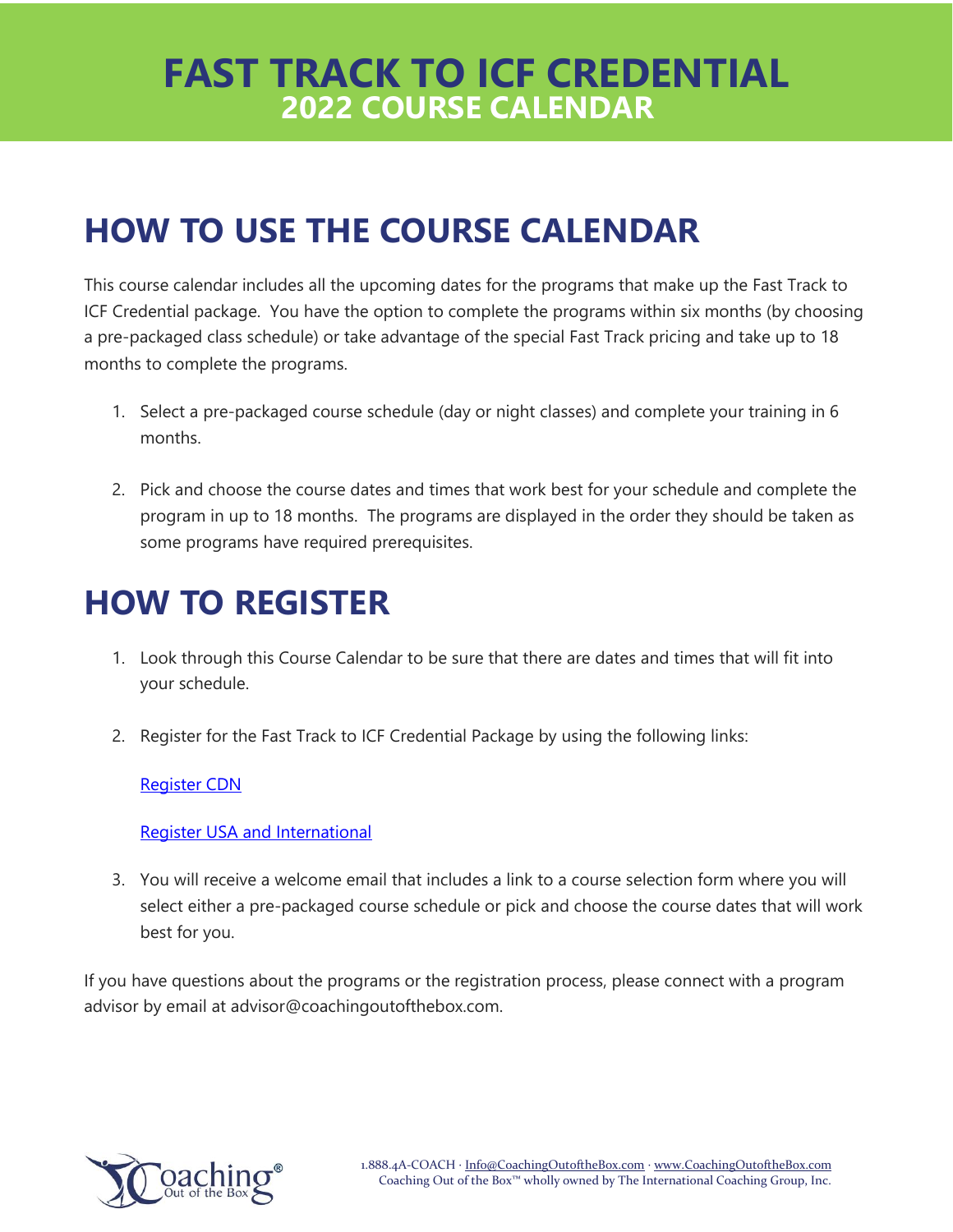# **HOW TO USE THE COURSE CALENDAR**

This course calendar includes all the upcoming dates for the programs that make up the Fast Track to ICF Credential package. You have the option to complete the programs within six months (by choosing a pre-packaged class schedule) or take advantage of the special Fast Track pricing and take up to 18 months to complete the programs.

- 1. Select a pre-packaged course schedule (day or night classes) and complete your training in 6 months.
- 2. Pick and choose the course dates and times that work best for your schedule and complete the program in up to 18 months. The programs are displayed in the order they should be taken as some programs have required prerequisites.

# **HOW TO REGISTER**

- 1. Look through this Course Calendar to be sure that there are dates and times that will fit into your schedule.
- 2. Register for the Fast Track to ICF Credential Package by using the following links:

#### [Register CDN](http://shop-cdn.coachingoutofthebox.com/fast-track-to-icf-credential-bundle/)

#### [Register USA and International](http://shop-us.coachingoutofthebox.com/fast-track-to-icf-credential-bundle/)

3. You will receive a welcome email that includes a link to a course selection form where you will select either a pre-packaged course schedule or pick and choose the course dates that will work best for you.

If you have questions about the programs or the registration process, please connect with a program advisor by email at advisor@coachingoutofthebox.com.

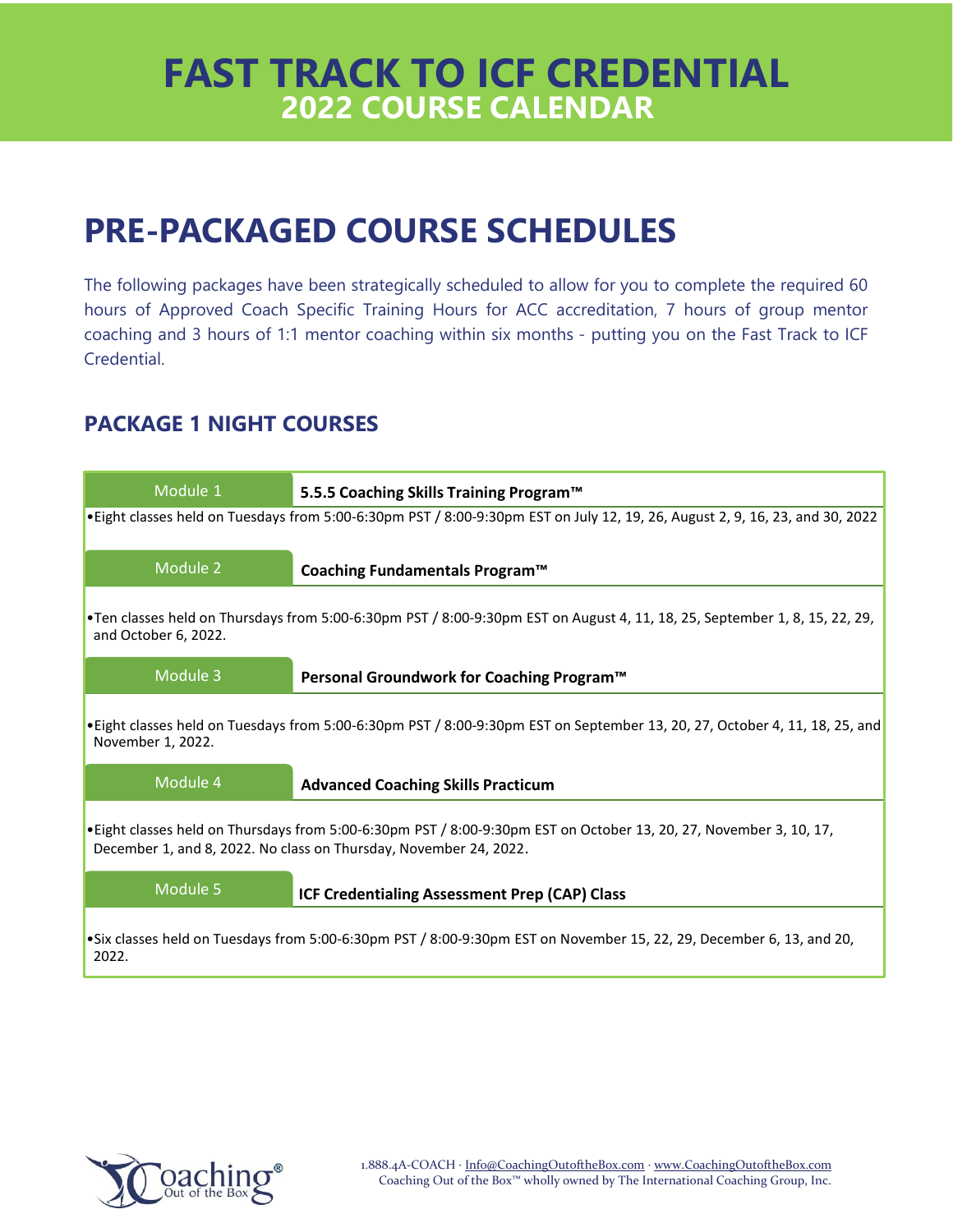# **PRE-PACKAGED COURSE SCHEDULES**

The following packages have been strategically scheduled to allow for you to complete the required 60 hours of Approved Coach Specific Training Hours for ACC accreditation, 7 hours of group mentor coaching and 3 hours of 1:1 mentor coaching within six months - putting you on the Fast Track to ICF Credential.

### **PACKAGE 1 NIGHT COURSES**



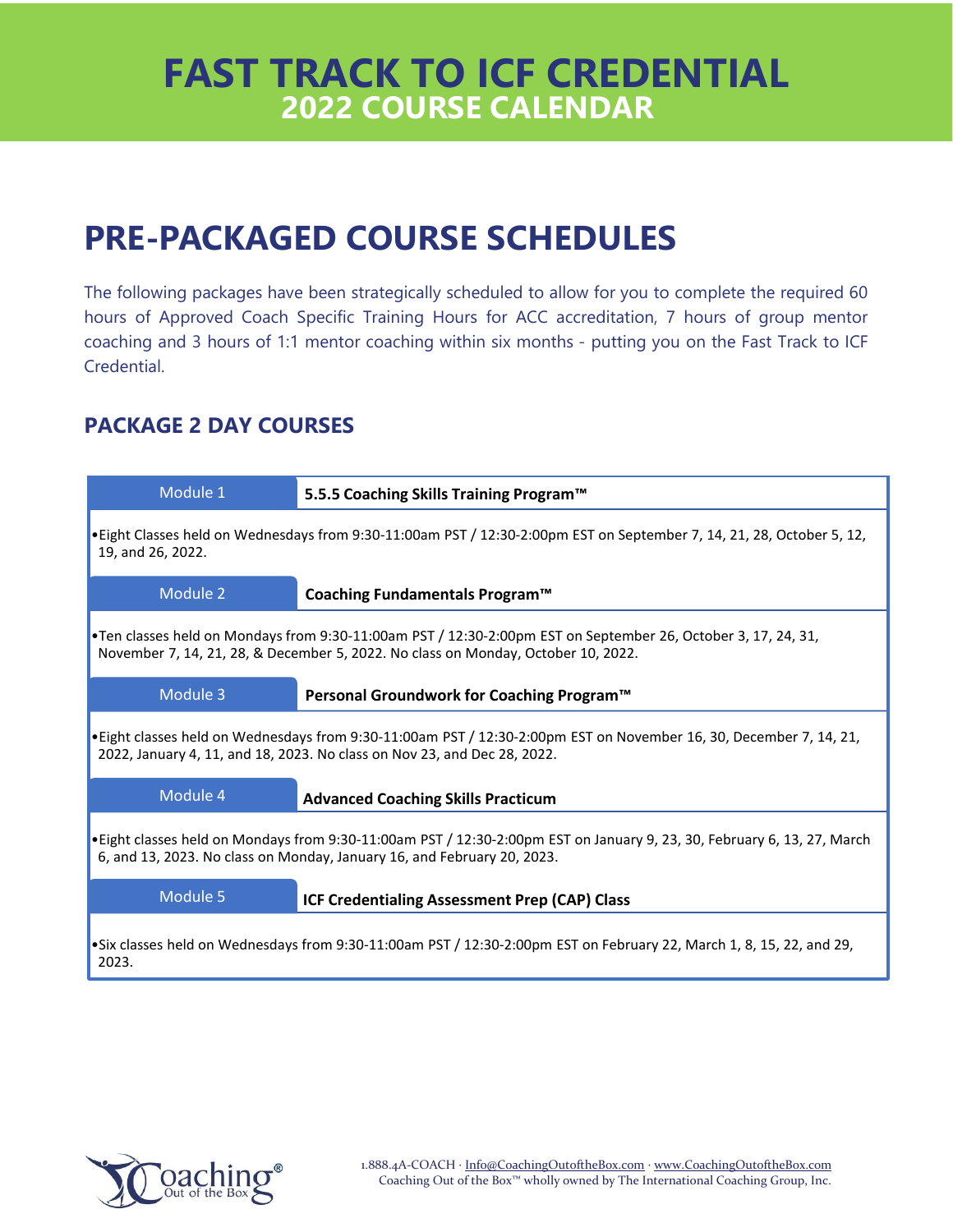# **PRE-PACKAGED COURSE SCHEDULES**

The following packages have been strategically scheduled to allow for you to complete the required 60 hours of Approved Coach Specific Training Hours for ACC accreditation, 7 hours of group mentor coaching and 3 hours of 1:1 mentor coaching within six months - putting you on the Fast Track to ICF Credential.

### **PACKAGE 2 DAY COURSES**



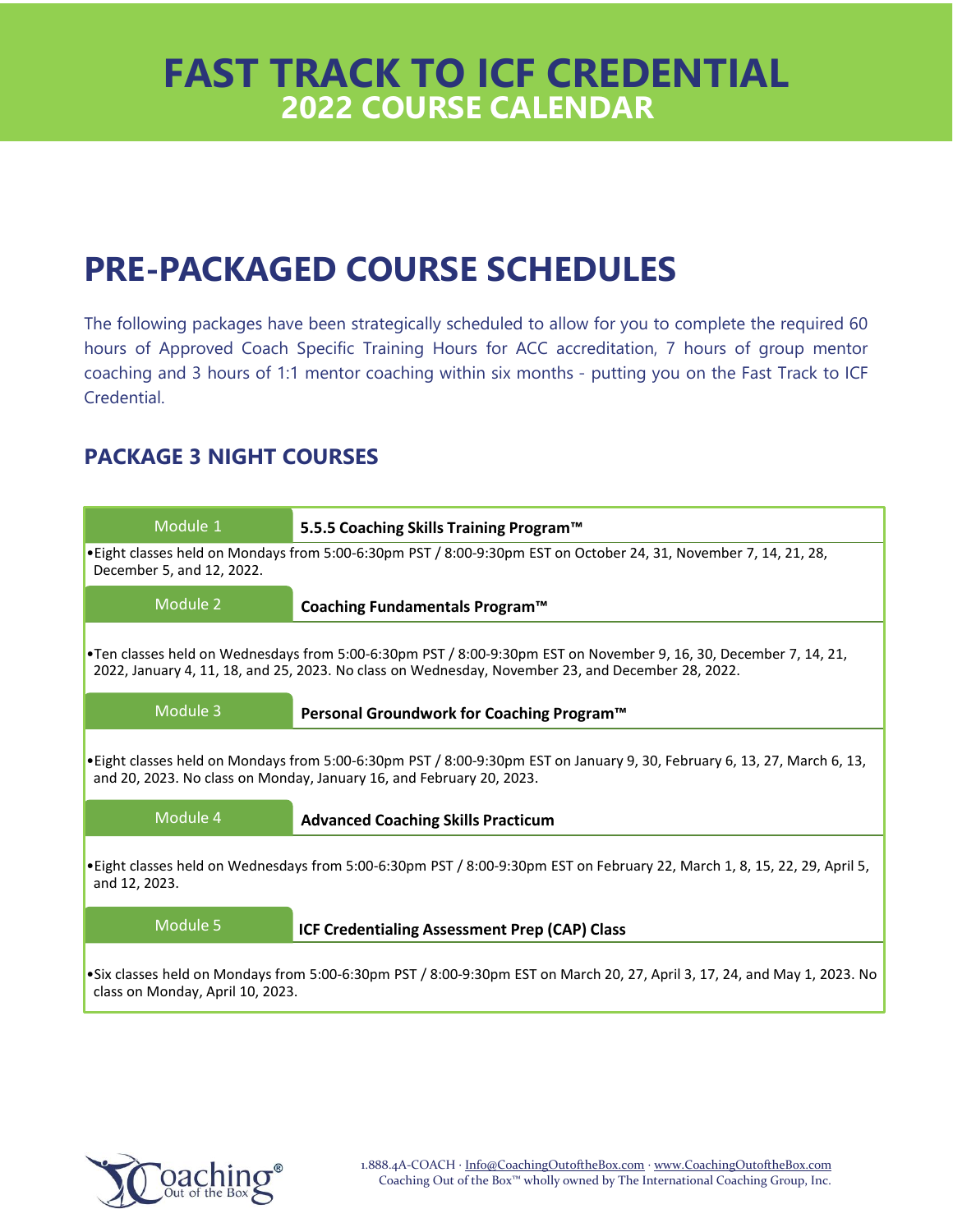# **PRE-PACKAGED COURSE SCHEDULES**

The following packages have been strategically scheduled to allow for you to complete the required 60 hours of Approved Coach Specific Training Hours for ACC accreditation, 7 hours of group mentor coaching and 3 hours of 1:1 mentor coaching within six months - putting you on the Fast Track to ICF Credential.

### **PACKAGE 3 NIGHT COURSES**



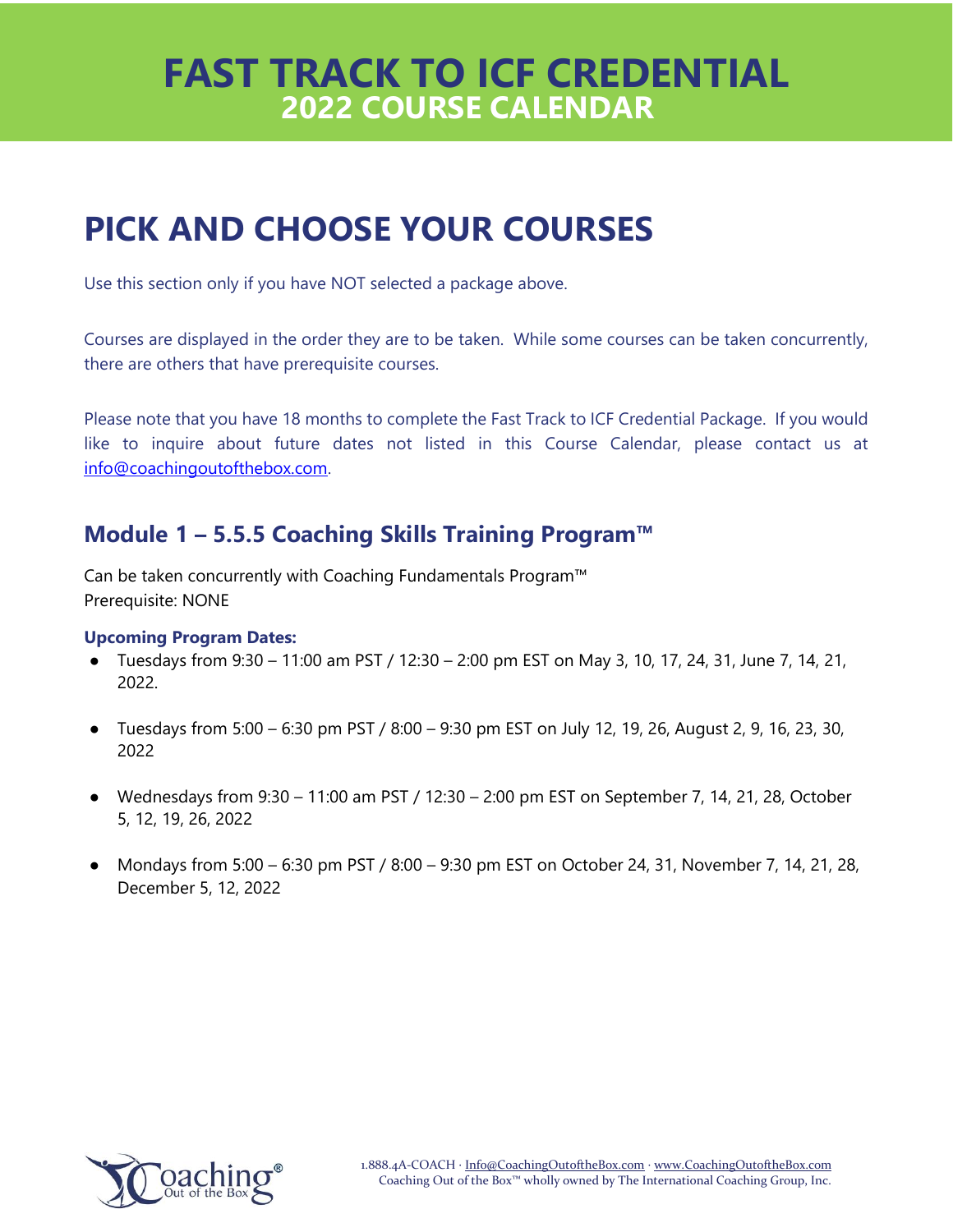# **PICK AND CHOOSE YOUR COURSES**

Use this section only if you have NOT selected a package above.

Courses are displayed in the order they are to be taken. While some courses can be taken concurrently, there are others that have prerequisite courses.

Please note that you have 18 months to complete the Fast Track to ICF Credential Package. If you would like to inquire about future dates not listed in this Course Calendar, please contact us at [info@coachingoutofthebox.com.](mailto:info@coachingoutofthebox.com)

### **Module 1 – 5.5.5 Coaching Skills Training Program™**

Can be taken concurrently with Coaching Fundamentals Program™ Prerequisite: NONE

- Tuesdays from  $9:30 11:00$  am PST /  $12:30 2:00$  pm EST on May 3, 10, 17, 24, 31, June 7, 14, 21, 2022.
- Tuesdays from  $5:00 6:30$  pm PST /  $8:00 9:30$  pm EST on July 12, 19, 26, August 2, 9, 16, 23, 30, 2022
- $\bullet$  Wednesdays from 9:30 11:00 am PST / 12:30 2:00 pm EST on September 7, 14, 21, 28, October 5, 12, 19, 26, 2022
- Mondays from 5:00 6:30 pm PST / 8:00 9:30 pm EST on October 24, 31, November 7, 14, 21, 28, December 5, 12, 2022

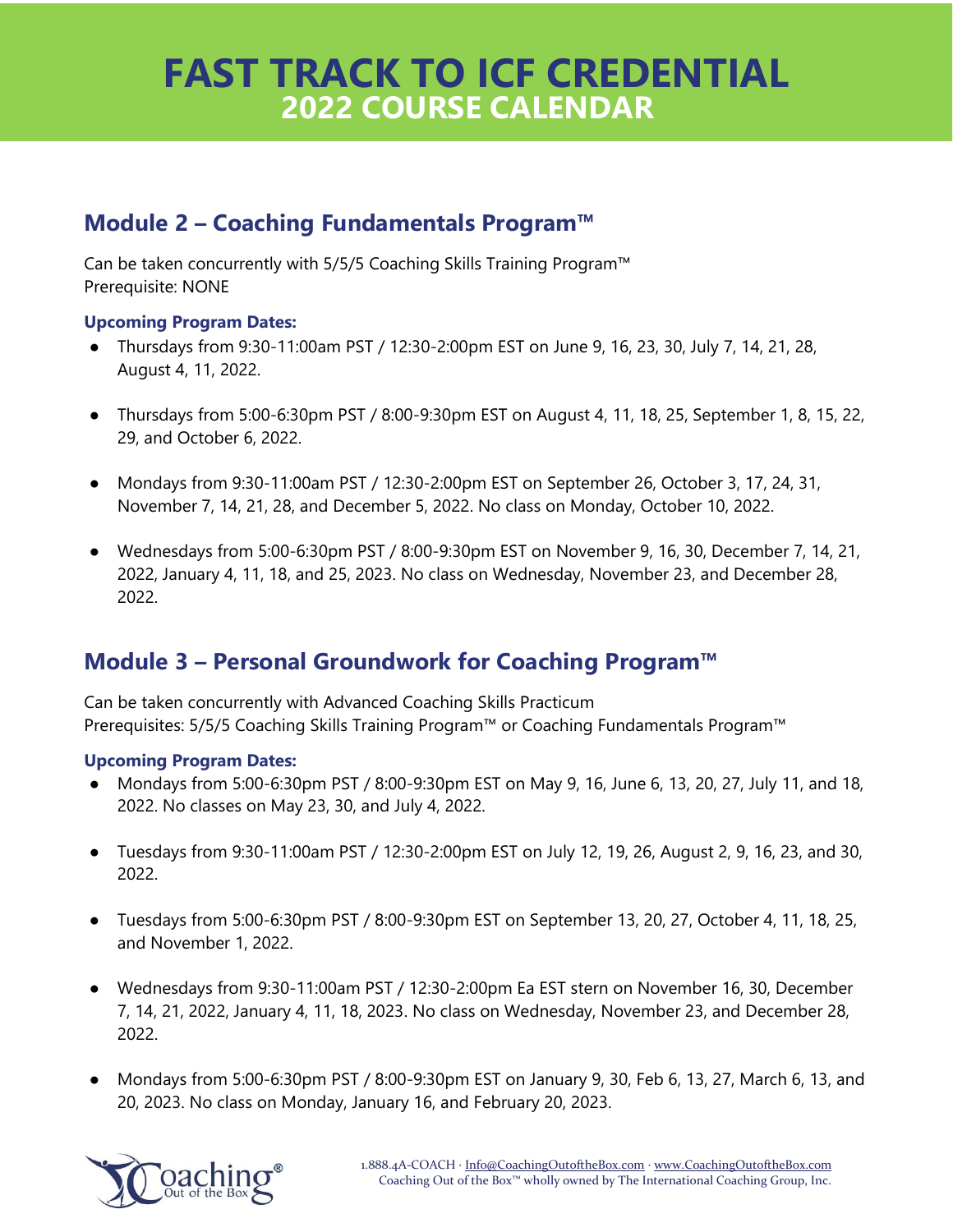### **Module 2 – Coaching Fundamentals Program™**

Can be taken concurrently with 5/5/5 Coaching Skills Training Program™ Prerequisite: NONE

#### **Upcoming Program Dates:**

- Thursdays from 9:30-11:00am PST / 12:30-2:00pm EST on June 9, 16, 23, 30, July 7, 14, 21, 28, August 4, 11, 2022.
- Thursdays from 5:00-6:30pm PST / 8:00-9:30pm EST on August 4, 11, 18, 25, September 1, 8, 15, 22, 29, and October 6, 2022.
- Mondays from 9:30-11:00am PST / 12:30-2:00pm EST on September 26, October 3, 17, 24, 31, November 7, 14, 21, 28, and December 5, 2022. No class on Monday, October 10, 2022.
- Wednesdays from 5:00-6:30pm PST / 8:00-9:30pm EST on November 9, 16, 30, December 7, 14, 21, 2022, January 4, 11, 18, and 25, 2023. No class on Wednesday, November 23, and December 28, 2022.

### **Module 3 – Personal Groundwork for Coaching Program™**

Can be taken concurrently with Advanced Coaching Skills Practicum Prerequisites: 5/5/5 Coaching Skills Training Program™ or Coaching Fundamentals Program™

- Mondays from 5:00-6:30pm PST / 8:00-9:30pm EST on May 9, 16, June 6, 13, 20, 27, July 11, and 18, 2022. No classes on May 23, 30, and July 4, 2022.
- Tuesdays from 9:30-11:00am PST / 12:30-2:00pm EST on July 12, 19, 26, August 2, 9, 16, 23, and 30, 2022.
- Tuesdays from 5:00-6:30pm PST / 8:00-9:30pm EST on September 13, 20, 27, October 4, 11, 18, 25, and November 1, 2022.
- Wednesdays from 9:30-11:00am PST / 12:30-2:00pm Ea EST stern on November 16, 30, December 7, 14, 21, 2022, January 4, 11, 18, 2023. No class on Wednesday, November 23, and December 28, 2022.
- Mondays from 5:00-6:30pm PST / 8:00-9:30pm EST on January 9, 30, Feb 6, 13, 27, March 6, 13, and 20, 2023. No class on Monday, January 16, and February 20, 2023.

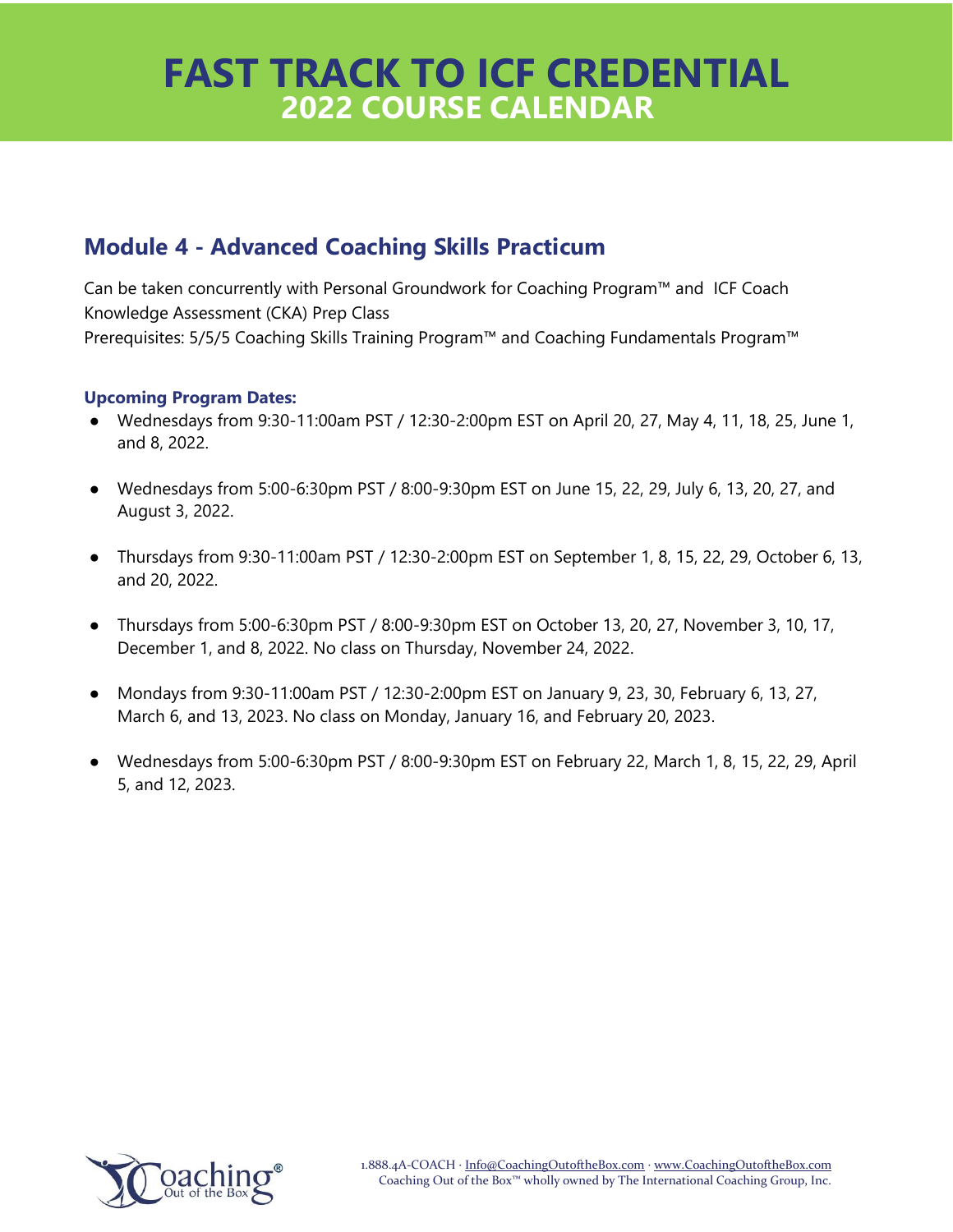### **Module 4 - Advanced Coaching Skills Practicum**

Can be taken concurrently with Personal Groundwork for Coaching Program™ and ICF Coach Knowledge Assessment (CKA) Prep Class Prerequisites: 5/5/5 Coaching Skills Training Program™ and Coaching Fundamentals Program™

- Wednesdays from 9:30-11:00am PST / 12:30-2:00pm EST on April 20, 27, May 4, 11, 18, 25, June 1, and 8, 2022.
- Wednesdays from 5:00-6:30pm PST / 8:00-9:30pm EST on June 15, 22, 29, July 6, 13, 20, 27, and August 3, 2022.
- Thursdays from 9:30-11:00am PST / 12:30-2:00pm EST on September 1, 8, 15, 22, 29, October 6, 13, and 20, 2022.
- Thursdays from 5:00-6:30pm PST / 8:00-9:30pm EST on October 13, 20, 27, November 3, 10, 17, December 1, and 8, 2022. No class on Thursday, November 24, 2022.
- Mondays from 9:30-11:00am PST / 12:30-2:00pm EST on January 9, 23, 30, February 6, 13, 27, March 6, and 13, 2023. No class on Monday, January 16, and February 20, 2023.
- Wednesdays from 5:00-6:30pm PST / 8:00-9:30pm EST on February 22, March 1, 8, 15, 22, 29, April 5, and 12, 2023.

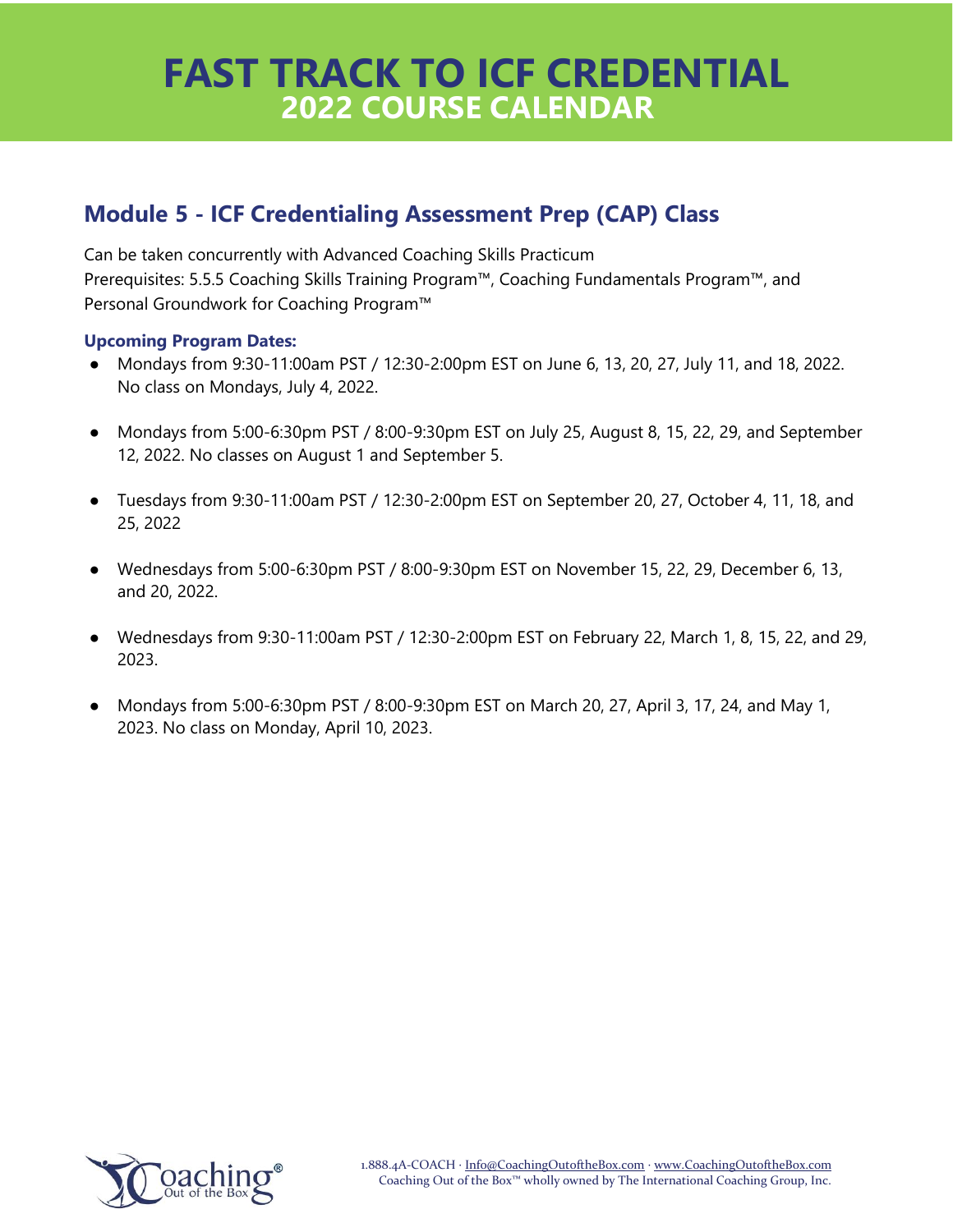### **Module 5 - ICF Credentialing Assessment Prep (CAP) Class**

Can be taken concurrently with Advanced Coaching Skills Practicum Prerequisites: 5.5.5 Coaching Skills Training Program™, Coaching Fundamentals Program™, and Personal Groundwork for Coaching Program™

- Mondays from 9:30-11:00am PST / 12:30-2:00pm EST on June 6, 13, 20, 27, July 11, and 18, 2022. No class on Mondays, July 4, 2022.
- Mondays from 5:00-6:30pm PST / 8:00-9:30pm EST on July 25, August 8, 15, 22, 29, and September 12, 2022. No classes on August 1 and September 5.
- Tuesdays from 9:30-11:00am PST / 12:30-2:00pm EST on September 20, 27, October 4, 11, 18, and 25, 2022
- Wednesdays from 5:00-6:30pm PST / 8:00-9:30pm EST on November 15, 22, 29, December 6, 13, and 20, 2022.
- Wednesdays from 9:30-11:00am PST / 12:30-2:00pm EST on February 22, March 1, 8, 15, 22, and 29, 2023.
- Mondays from 5:00-6:30pm PST / 8:00-9:30pm EST on March 20, 27, April 3, 17, 24, and May 1, 2023. No class on Monday, April 10, 2023.